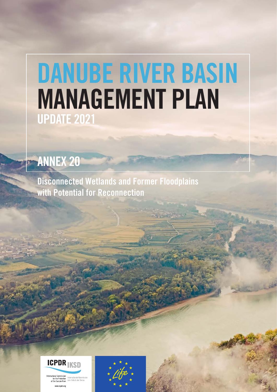## DANUBE RIVER BASIN MANAGEMENT PLAN UPDATE 2021

## ANNEX 20

Disconnected Wetlands and Former Floodplains with Potential for Reconnection



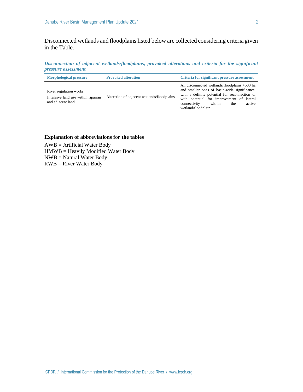Disconnected wetlands and floodplains listed below are collected considering criteria given in the Table.

*Disconnection of adjacent wetlands/floodplains, provoked alterations and criteria for the significant pressure assessment*

| <b>Morphological pressure</b>                                                     | <b>Provoked alteration</b>                  | <b>Criteria for significant pressure assessment</b>                                                                                                                                                                                                          |  |  |  |
|-----------------------------------------------------------------------------------|---------------------------------------------|--------------------------------------------------------------------------------------------------------------------------------------------------------------------------------------------------------------------------------------------------------------|--|--|--|
| River regulation works<br>Intensive land use within riparian<br>and adjacent land | Alteration of adjacent wetlands/floodplains | All disconnected wetlands/floodplains >500 ha<br>and smaller ones of basin-wide significance,<br>with a definite potential for reconnection or<br>with potential for improvement of lateral<br>connectivity<br>active<br>within<br>the<br>wetland/floodplain |  |  |  |

## **Explanation of abbreviations for the tables**

AWB = Artificial Water Body HMWB = Heavily Modified Water Body NWB = Natural Water Body RWB = River Water Body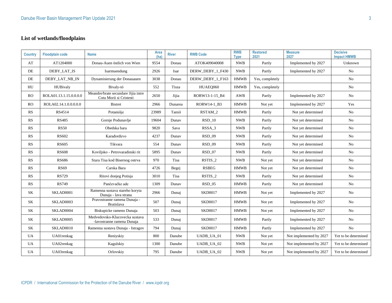## **List of wetlands/floodplains**

| <b>Country</b>          | <b>Floodplain code</b> | <b>Name</b>                                                    | Area<br>(ha) | <b>River</b> | <b>RWB Code</b>  | <b>RWB</b><br><b>Type</b> | <b>Restored</b><br>2021 | <b>Measure</b><br>2027  | <b>Decisive</b><br><b>Impact HMWB</b> |
|-------------------------|------------------------|----------------------------------------------------------------|--------------|--------------|------------------|---------------------------|-------------------------|-------------------------|---------------------------------------|
| $\mathbf{A}\mathbf{T}$  | AT1204000              | Donau-Auen östlich von Wien                                    | 9554         | Donau        | ATOK409040008    | <b>NWB</b>                | Partly                  | Implemented by 2027     | Unknown                               |
| DE                      | DEBY_LAT_IS            | Isarmuendung                                                   | 2926         | Isar         | DERW DEBY 1 F430 | <b>NWB</b>                | Partly                  | Implemented by 2027     | No                                    |
| DE                      | DEBY LAT NB IN         | Dynamisierung der Donauauen                                    | 3038         | Donau        | DERW DEBY 1 F163 | <b>HMWB</b>               | Yes, completely         |                         | No                                    |
| HU                      | HUBivaly               | Bivaly-tó                                                      | 552          | Tisza        | HUAEO060         | <b>HMWB</b>               | Yes, completely         |                         | No                                    |
| RO                      | ROLA01.13.1.15.0.0.0.0 | Meandre/brate secundare Jijia intre<br>Cotu Morii si Cristesti | 2650         | Jijia        | RORW13-1-15 B4   | AWB                       | Partly                  | Implemented by 2027     | No                                    |
| RO                      | ROLA02.14.1.0.0.0.0.0  | <b>Bistret</b>                                                 | 2966         | Dunarea      | RORW14-1_B3      | <b>HMWB</b>               | Not yet                 | Implemented by 2027     | Yes                                   |
| RS                      | RS4514                 | Potamišje                                                      | 23989        | Tamiš        | RSTAM 2          | <b>HMWB</b>               | Partly                  | Not yet determined      | No                                    |
| $\mathbb{R}\mathcal{S}$ | <b>RS485</b>           | Gornje Podunavlje                                              | 19604        | Dunav        | $RSD_10$         | <b>NWB</b>                | Partly                  | Not yet determined      | No                                    |
| RS                      | <b>RS50</b>            | Obedska bara                                                   | 9820         | Sava         | RSSA_3           | <b>NWB</b>                | Partly                  | Not yet determined      | No                                    |
| $\mathbb{R}\mathcal{S}$ | <b>RS602</b>           | Karađorđevo                                                    | 4237         | Dunav        | <b>RSD_09</b>    | <b>NWB</b>                | Partly                  | Not yet determined      | No                                    |
| $\mathbb{R}\mathcal{S}$ | <b>RS605</b>           | Tikvara                                                        | 554          | Dunav        | <b>RSD_09</b>    | <b>NWB</b>                | Partly                  | Not yet determined      | No                                    |
| $\mathbb{R}\mathcal{S}$ | <b>RS608</b>           | Koviljsko - Petrovaradinski rit                                | 5895         | Dunav        | $RSD_07$         | <b>NWB</b>                | Partly                  | Not yet determined      | No                                    |
| RS                      | <b>RS686</b>           | Stara Tisa kod Bisernog ostrva                                 | 970          | Tisa         | RSTIS_2          | <b>NWB</b>                | Not yet                 | Not yet determined      | No                                    |
| RS                      | <b>RS69</b>            | Carska Bara                                                    | 4726         | Begej        | <b>RSBEG</b>     | <b>HMWB</b>               | Not yet                 | Not yet determined      | No                                    |
| RS                      | <b>RS729</b>           | Ritovi donjeg Potisja                                          | 3010         | Tisa         | RSTIS_2          | <b>NWB</b>                | Partly                  | Not yet determined      | No                                    |
| RS                      | <b>RS749</b>           | Pančevačke ade                                                 | 1309         | Dunav        | $RSD_05$         | <b>HMWB</b>               | Partly                  | Not yet determined      | No                                    |
| SK                      | SKLAD0001              | Ramenna sustava stareho koryta<br>Dunaja - lava strana         | 2966         | Dunaj        | <b>SKD0017</b>   | <b>HMWB</b>               | Not yet                 | Implemented by 2027     | No                                    |
| $\rm SK$                | SKLAD0003              | Pravostranne ramena Dunaja -<br>Bratislava                     | 507          | Dunaj        | <b>SKD0017</b>   | <b>HMWB</b>               | Not yet                 | Implemented by 2027     | No                                    |
| <b>SK</b>               | SKLAD0004              | Biskupicke rameno Dunaja                                       | 503          | Dunaj        | <b>SKD0017</b>   | <b>HMWB</b>               | Not yet                 | Implemented by 2027     | No.                                   |
| SK                      | SKLAD0005              | Medvedovsko-Klucovecka sustava<br>-lavostranne ramena Dunaja   | 533          | Dunaj        | <b>SKD0017</b>   | <b>HMWB</b>               | Partly                  | Implemented by 2027     | No                                    |
| $\rm SK$                | SKLAD0010              | Ramenna sustava Dunaja - Istragov                              | 794          | Dunaj        | <b>SKD0017</b>   | <b>HMWB</b>               | Partly                  | Implemented by 2027     | No                                    |
| UA                      | UA01renkag             | Reniyskiy                                                      | 800          | Danube       | UADB_UA_01       | <b>NWB</b>                | Not yet                 | Not implemented by 2027 | Yet to be determined                  |
| <b>UA</b>               | UA02renkag             | Kagulskiy                                                      | 1300         | Danube       | UADB_UA_02       | <b>NWB</b>                | Not yet                 | Not implemented by 2027 | Yet to be determined                  |
| <b>UA</b>               | UA03renkag             | Orlovskiy                                                      | 795          | Danube       | UADB_UA_02       | <b>NWB</b>                | Not yet                 | Not implemented by 2027 | Yet to be determined                  |